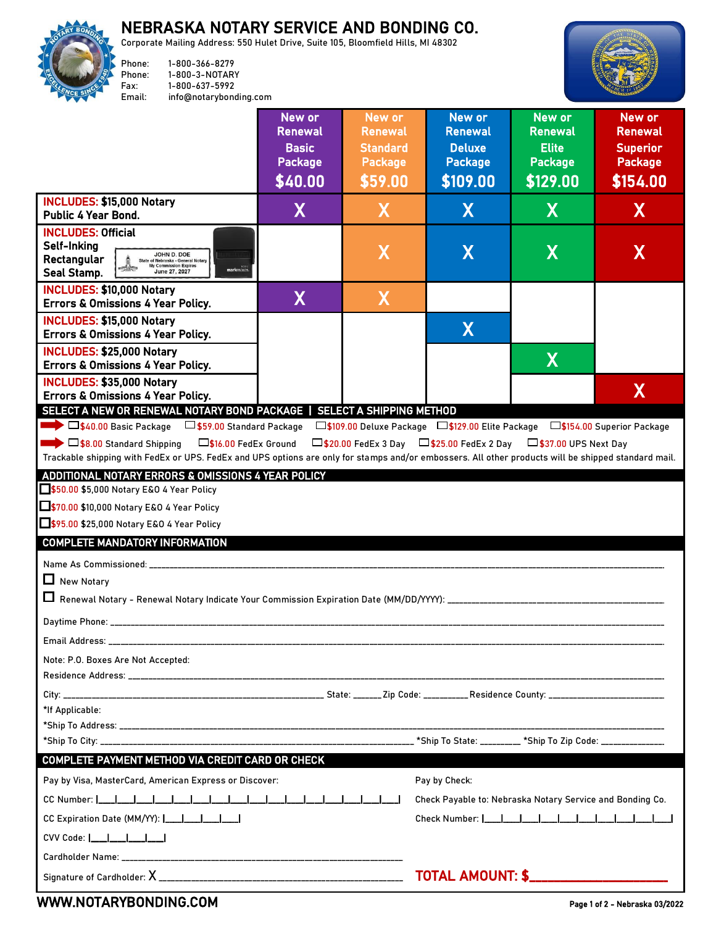## NEBRASKA NOTARY SERVICE AND BONDING CO.

Corporate Mailing Address: 550 Hulet Drive, Suite 105, Bloomfield Hills, MI 48302

Phone: 1-800-366-8279 Phone: 1-800-3-NOTARY Fax: 1-800-637-5992 info@notarybonding.com



|                                                                                                                                                                                                                                                                                            | New or<br><b>Renewal</b> | New or<br><b>Renewal</b> | <b>New or</b><br><b>Renewal</b>                           | New or<br><b>Renewal</b> | New or<br><b>Renewal</b>  |
|--------------------------------------------------------------------------------------------------------------------------------------------------------------------------------------------------------------------------------------------------------------------------------------------|--------------------------|--------------------------|-----------------------------------------------------------|--------------------------|---------------------------|
|                                                                                                                                                                                                                                                                                            | <b>Basic</b>             | <b>Standard</b>          | <b>Deluxe</b>                                             | <b>Elite</b>             | <b>Superior</b>           |
|                                                                                                                                                                                                                                                                                            | <b>Package</b>           | <b>Package</b>           | <b>Package</b>                                            | <b>Package</b>           | <b>Package</b>            |
|                                                                                                                                                                                                                                                                                            | \$40.00                  | \$59.00                  | \$109.00                                                  | \$129.00                 | \$154.00                  |
| <b>INCLUDES: \$15,000 Notary</b><br>Public 4 Year Bond.                                                                                                                                                                                                                                    | X                        | X                        | X                                                         | X                        | X                         |
| <b>INCLUDES: Official</b>                                                                                                                                                                                                                                                                  |                          |                          |                                                           |                          |                           |
| Self-Inking<br>JOHN D. DOE<br>Rectangular<br>State of Nebraska - General Notary<br>My Commission Expires<br>June 27, 2027<br><b>PARTIES</b><br>markmaker<br>Seal Stamp.                                                                                                                    |                          | X                        | X                                                         | X                        | $\boldsymbol{\mathsf{X}}$ |
| <b>INCLUDES: \$10,000 Notary</b><br>Errors & Omissions 4 Year Policy.                                                                                                                                                                                                                      | X                        | X                        |                                                           |                          |                           |
| <b>INCLUDES: \$15,000 Notary</b><br>Errors & Omissions 4 Year Policy.                                                                                                                                                                                                                      |                          |                          | X                                                         |                          |                           |
| <b>INCLUDES: \$25,000 Notary</b><br>Errors & Omissions 4 Year Policy.                                                                                                                                                                                                                      |                          |                          |                                                           | X                        |                           |
| <b>INCLUDES: \$35,000 Notary</b><br><b>Errors &amp; Omissions 4 Year Policy.</b>                                                                                                                                                                                                           |                          |                          |                                                           |                          | X                         |
| SELECT A NEW OR RENEWAL NOTARY BOND PACKAGE   SELECT A SHIPPING METHOD                                                                                                                                                                                                                     |                          |                          |                                                           |                          |                           |
| ■ ○ 59.00 Basic Package   59.00 Standard Package   ①\$109.00 Deluxe Package   ①\$129.00 Elite Package     ①\$154.00 Superior Package                                                                                                                                                       |                          |                          |                                                           |                          |                           |
| □\$16.00 FedEx Ground<br>□\$20.00 FedEx 3 Day □\$25.00 FedEx 2 Day □\$37.00 UPS Next Day<br>$\blacksquare$ \$8.00 Standard Shipping<br>Trackable shipping with FedEx or UPS. FedEx and UPS options are only for stamps and/or embossers. All other products will be shipped standard mail. |                          |                          |                                                           |                          |                           |
| ADDITIONAL NOTARY ERRORS & OMISSIONS 4 YEAR POLICY                                                                                                                                                                                                                                         |                          |                          |                                                           |                          |                           |
| 550.00 \$5,000 Notary E&O 4 Year Policy<br>570.00 \$10,000 Notary E&O 4 Year Policy                                                                                                                                                                                                        |                          |                          |                                                           |                          |                           |
| 595.00 \$25,000 Notary E&O 4 Year Policy                                                                                                                                                                                                                                                   |                          |                          |                                                           |                          |                           |
| <b>COMPLETE MANDATORY INFORMATION</b>                                                                                                                                                                                                                                                      |                          |                          |                                                           |                          |                           |
|                                                                                                                                                                                                                                                                                            |                          |                          |                                                           |                          |                           |
| $\Box$ New Notary                                                                                                                                                                                                                                                                          |                          |                          |                                                           |                          |                           |
|                                                                                                                                                                                                                                                                                            |                          |                          |                                                           |                          |                           |
|                                                                                                                                                                                                                                                                                            |                          |                          |                                                           |                          |                           |
|                                                                                                                                                                                                                                                                                            |                          |                          |                                                           |                          |                           |
| Note: P.O. Boxes Are Not Accepted:                                                                                                                                                                                                                                                         |                          |                          |                                                           |                          |                           |
|                                                                                                                                                                                                                                                                                            |                          |                          |                                                           |                          |                           |
| *If Applicable:                                                                                                                                                                                                                                                                            |                          |                          |                                                           |                          |                           |
|                                                                                                                                                                                                                                                                                            |                          |                          |                                                           |                          |                           |
|                                                                                                                                                                                                                                                                                            |                          |                          |                                                           |                          |                           |
| COMPLETE PAYMENT METHOD VIA CREDIT CARD OR CHECK                                                                                                                                                                                                                                           |                          |                          |                                                           |                          |                           |
| Pay by Visa, MasterCard, American Express or Discover:                                                                                                                                                                                                                                     |                          |                          | Pay by Check:                                             |                          |                           |
|                                                                                                                                                                                                                                                                                            |                          |                          | Check Payable to: Nebraska Notary Service and Bonding Co. |                          |                           |
| CC Expiration Date (MM/YY):  ___ ___ ___ ___                                                                                                                                                                                                                                               |                          |                          | Check Number:                                             |                          |                           |
| $CVV Code:  $ $ $                                                                                                                                                                                                                                                                          |                          |                          |                                                           |                          |                           |
|                                                                                                                                                                                                                                                                                            |                          |                          |                                                           |                          |                           |
|                                                                                                                                                                                                                                                                                            |                          |                          |                                                           |                          |                           |

## [WWW.NOTARYBONDING.COM](http://www.notarybonding.com/) Page 1 of 2 - Nebraska 03/2022